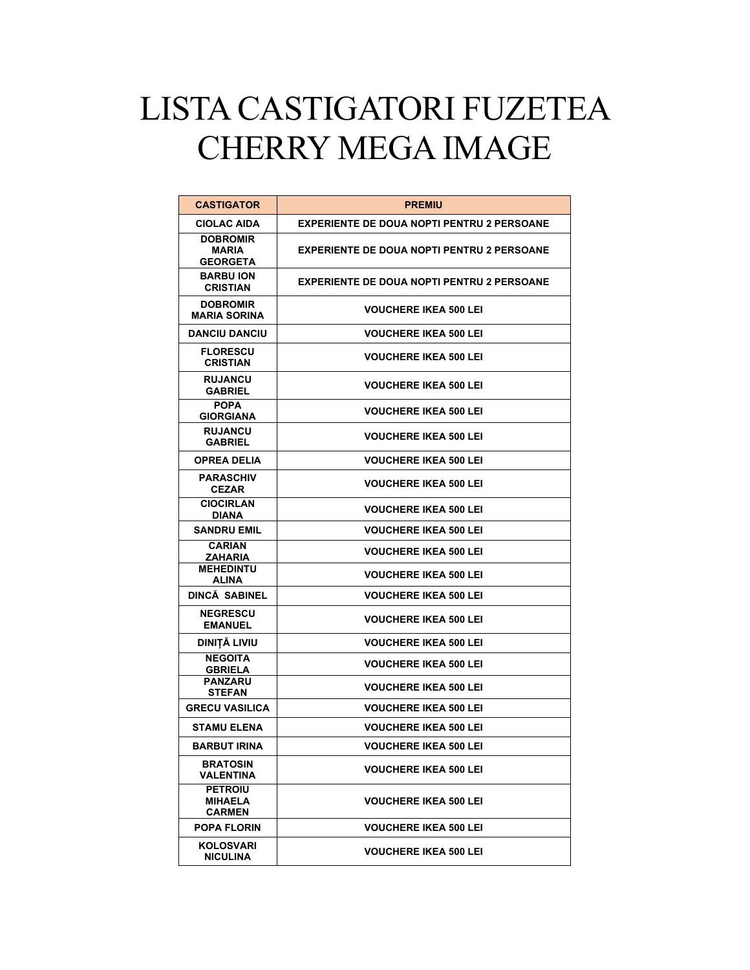## LISTA CASTIGATORI FUZETEA CHERRY MEGA IMAGE

| <b>CASTIGATOR</b>                                  | <b>PREMIU</b>                                     |
|----------------------------------------------------|---------------------------------------------------|
| <b>CIOLAC AIDA</b>                                 | <b>EXPERIENTE DE DOUA NOPTI PENTRU 2 PERSOANE</b> |
| <b>DOBROMIR</b><br><b>MARIA</b><br><b>GEORGETA</b> | <b>EXPERIENTE DE DOUA NOPTI PENTRU 2 PERSOANE</b> |
| <b>BARBU ION</b><br><b>CRISTIAN</b>                | <b>EXPERIENTE DE DOUA NOPTI PENTRU 2 PERSOANE</b> |
| <b>DOBROMIR</b><br><b>MARIA SORINA</b>             | <b>VOUCHERE IKEA 500 LEI</b>                      |
| <b>DANCIU DANCIU</b>                               | <b>VOUCHERE IKEA 500 LEI</b>                      |
| <b>FLORESCU</b><br><b>CRISTIAN</b>                 | <b>VOUCHERE IKEA 500 LEI</b>                      |
| <b>RUJANCU</b><br><b>GABRIEL</b>                   | <b>VOUCHERE IKEA 500 LEI</b>                      |
| <b>POPA</b><br>GIORGIANA                           | <b>VOUCHERE IKEA 500 LEI</b>                      |
| <b>RUJANCU</b><br><b>GABRIEL</b>                   | <b>VOUCHERE IKEA 500 LEI</b>                      |
| <b>OPREA DELIA</b>                                 | <b>VOUCHERE IKEA 500 LEI</b>                      |
| <b>PARASCHIV</b><br><b>CEZAR</b>                   | <b>VOUCHERE IKEA 500 LEI</b>                      |
| <b>CIOCIRLAN</b><br><b>DIANA</b>                   | <b>VOUCHERE IKEA 500 LEI</b>                      |
| <b>SANDRU EMIL</b>                                 | <b>VOUCHERE IKEA 500 LEI</b>                      |
| <b>CARIAN</b><br>ZAHARIA                           | <b>VOUCHERE IKEA 500 LEI</b>                      |
| <b>MEHEDINTU</b><br><b>ALINA</b>                   | <b>VOUCHERE IKEA 500 LEI</b>                      |
| <b>DINCA SABINEL</b>                               | <b>VOUCHERE IKEA 500 LEI</b>                      |
| <b>NEGRESCU</b><br><b>EMANUEL</b>                  | <b>VOUCHERE IKEA 500 LEI</b>                      |
| <b>DINIȚĂ LIVIU</b>                                | <b>VOUCHERE IKEA 500 LEI</b>                      |
| <b>NEGOITA</b><br><b>GBRIELA</b>                   | <b>VOUCHERE IKEA 500 LEI</b>                      |
| <b>PANZARU</b><br><b>STEFAN</b>                    | <b>VOUCHERE IKEA 500 LEI</b>                      |
| <b>GRECU VASILICA</b>                              | <b>VOUCHERE IKEA 500 LEI</b>                      |
| <b>STAMU ELENA</b>                                 | <b>VOUCHERE IKEA 500 LEI</b>                      |
| <b>BARBUT IRINA</b>                                | <b>VOUCHERE IKEA 500 LEI</b>                      |
| <b>BRATOSIN</b><br>VALENTINA                       | <b>VOUCHERE IKEA 500 LEI</b>                      |
| <b>PETROIU</b><br><b>MIHAELA</b><br>CARMEN         | <b>VOUCHERE IKEA 500 LEI</b>                      |
| <b>POPA FLORIN</b>                                 | <b>VOUCHERE IKEA 500 LEI</b>                      |
| KOLOSVARI<br><b>NICULINA</b>                       | <b>VOUCHERE IKEA 500 LEI</b>                      |